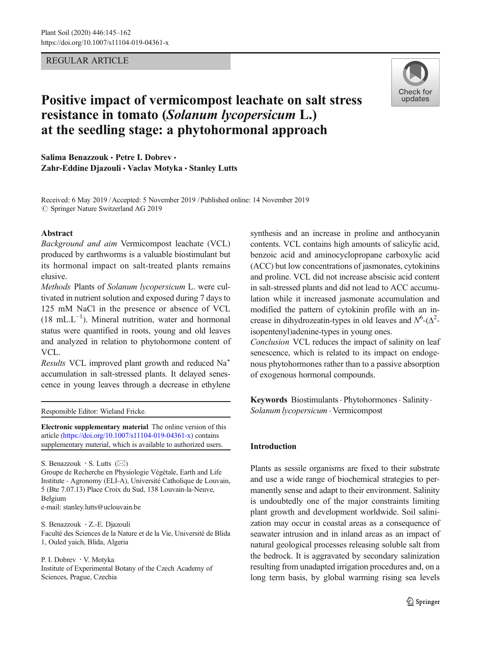# REGULAR ARTICLE



# Positive impact of vermicompost leachate on salt stress resistance in tomato (Solanum lycopersicum L.) at the seedling stage: a phytohormonal approach

Salima Benazzouk • Petre I. Dobrev • Zahr-Eddine Djazouli · Vaclav Motyka · Stanley Lutts

Received: 6 May 2019 /Accepted: 5 November 2019 /Published online: 14 November 2019 $\circ$  Springer Nature Switzerland AG 2019

# Abstract

Background and aim Vermicompost leachate (VCL) produced by earthworms is a valuable biostimulant but its hormonal impact on salt-treated plants remains elusive.

Methods Plants of Solanum lycopersicum L. were cultivated in nutrient solution and exposed during 7 days to 125 mM NaCl in the presence or absence of VCL  $(18 \text{ mL} \cdot \text{L}^{-1})$ . Mineral nutrition, water and hormonal status were quantified in roots, young and old leaves and analyzed in relation to phytohormone content of VCL.

Results VCL improved plant growth and reduced Na+ accumulation in salt-stressed plants. It delayed senescence in young leaves through a decrease in ethylene

Responsible Editor: Wieland Fricke.

Electronic supplementary material The online version of this article (<https://doi.org/10.1007/s11104-019-04361-x>) contains supplementary material, which is available to authorized users.

S. Benazzouk  $\cdot$  S. Lutts ( $\boxtimes$ )

Groupe de Recherche en Physiologie Végétale, Earth and Life Institute - Agronomy (ELI-A), Université Catholique de Louvain, 5 (Bte 7.07.13) Place Croix du Sud, 138 Louvain-la-Neuve, Belgium

e-mail: stanley.lutts@uclouvain.be

S. Benazzouk · Z.-E. Djazouli Faculté des Sciences de la Nature et de la Vie, Université de Blida 1, Ouled yaich, Blida, Algeria

P. I. Dobrev : V. Motyka Institute of Experimental Botany of the Czech Academy of Sciences, Prague, Czechia

synthesis and an increase in proline and anthocyanin contents. VCL contains high amounts of salicylic acid, benzoic acid and aminocyclopropane carboxylic acid (ACC) but low concentrations of jasmonates, cytokinins and proline. VCL did not increase abscisic acid content in salt-stressed plants and did not lead to ACC accumulation while it increased jasmonate accumulation and modified the pattern of cytokinin profile with an increase in dihydrozeatin-types in old leaves and  $N^6$ -( $\Delta^2$ isopentenyl)adenine-types in young ones.

Conclusion VCL reduces the impact of salinity on leaf senescence, which is related to its impact on endogenous phytohormones rather than to a passive absorption of exogenous hormonal compounds.

Keywords Biostimulants · Phytohormones · Salinity · Solanum lycopersicum . Vermicompost

# Introduction

Plants as sessile organisms are fixed to their substrate and use a wide range of biochemical strategies to permanently sense and adapt to their environment. Salinity is undoubtedly one of the major constraints limiting plant growth and development worldwide. Soil salinization may occur in coastal areas as a consequence of seawater intrusion and in inland areas as an impact of natural geological processes releasing soluble salt from the bedrock. It is aggravated by secondary salinization resulting from unadapted irrigation procedures and, on a long term basis, by global warming rising sea levels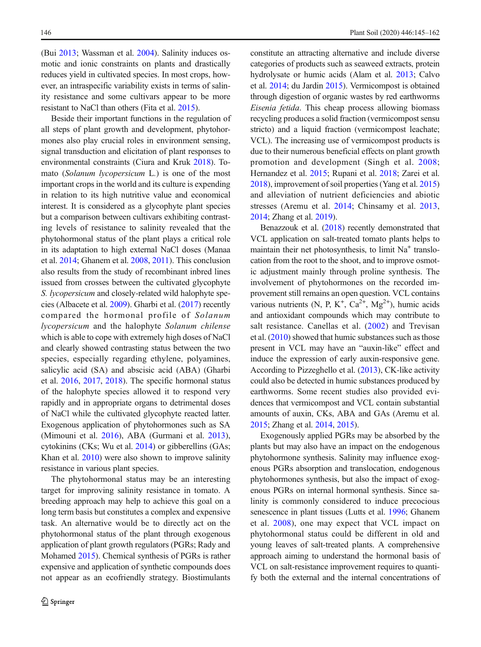(Bui [2013;](#page-15-0) Wassman et al. [2004](#page-17-0)). Salinity induces osmotic and ionic constraints on plants and drastically reduces yield in cultivated species. In most crops, however, an intraspecific variability exists in terms of salinity resistance and some cultivars appear to be more resistant to NaCl than others (Fita et al. [2015](#page-16-0)).

Beside their important functions in the regulation of all steps of plant growth and development, phytohormones also play crucial roles in environment sensing, signal transduction and elicitation of plant responses to environmental constraints (Ciura and Kruk [2018\)](#page-15-0). Tomato (Solanum lycopersicum L.) is one of the most important crops in the world and its culture is expending in relation to its high nutritive value and economical interest. It is considered as a glycophyte plant species but a comparison between cultivars exhibiting contrasting levels of resistance to salinity revealed that the phytohormonal status of the plant plays a critical role in its adaptation to high external NaCl doses (Manaa et al. [2014](#page-16-0); Ghanem et al. [2008](#page-16-0), [2011\)](#page-16-0). This conclusion also results from the study of recombinant inbred lines issued from crosses between the cultivated glycophyte S. lycopersicum and closely-related wild halophyte species (Albacete et al. [2009\)](#page-15-0). Gharbi et al. [\(2017\)](#page-16-0) recently compared the hormonal profile of Solanum lycopersicum and the halophyte Solanum chilense which is able to cope with extremely high doses of NaCl and clearly showed contrasting status between the two species, especially regarding ethylene, polyamines, salicylic acid (SA) and abscisic acid (ABA) (Gharbi et al. [2016](#page-16-0), [2017](#page-16-0), [2018\)](#page-16-0). The specific hormonal status of the halophyte species allowed it to respond very rapidly and in appropriate organs to detrimental doses of NaCl while the cultivated glycophyte reacted latter. Exogenous application of phytohormones such as SA (Mimouni et al. [2016](#page-16-0)), ABA (Gurmani et al. [2013\)](#page-16-0), cytokinins (CKs; Wu et al. [2014\)](#page-17-0) or gibberellins (GAs; Khan et al. [2010\)](#page-16-0) were also shown to improve salinity resistance in various plant species.

The phytohormonal status may be an interesting target for improving salinity resistance in tomato. A breeding approach may help to achieve this goal on a long term basis but constitutes a complex and expensive task. An alternative would be to directly act on the phytohormonal status of the plant through exogenous application of plant growth regulators (PGRs; Rady and Mohamed [2015\)](#page-16-0). Chemical synthesis of PGRs is rather expensive and application of synthetic compounds does not appear as an ecofriendly strategy. Biostimulants constitute an attracting alternative and include diverse categories of products such as seaweed extracts, protein hydrolysate or humic acids (Alam et al. [2013](#page-15-0); Calvo et al. [2014](#page-15-0); du Jardin [2015](#page-16-0)). Vermicompost is obtained through digestion of organic wastes by red earthworms Eisenia fetida. This cheap process allowing biomass recycling produces a solid fraction (vermicompost sensu stricto) and a liquid fraction (vermicompost leachate; VCL). The increasing use of vermicompost products is due to their numerous beneficial effects on plant growth promotion and development (Singh et al. [2008;](#page-17-0) Hernandez et al. [2015](#page-16-0); Rupani et al. [2018;](#page-17-0) Zarei et al. [2018](#page-17-0)), improvement of soil properties (Yang et al. [2015](#page-17-0)) and alleviation of nutrient deficiencies and abiotic stresses (Aremu et al. [2014](#page-15-0); Chinsamy et al. [2013,](#page-15-0) [2014](#page-15-0); Zhang et al. [2019](#page-17-0)).

Benazzouk et al. [\(2018](#page-15-0)) recently demonstrated that VCL application on salt-treated tomato plants helps to maintain their net photosynthesis, to limit  $Na<sup>+</sup>$  translocation from the root to the shoot, and to improve osmotic adjustment mainly through proline synthesis. The involvement of phytohormones on the recorded improvement still remains an open question. VCL contains various nutrients (N, P, K<sup>+</sup>, Ca<sup>2+</sup>, Mg<sup>2+</sup>), humic acids and antioxidant compounds which may contribute to salt resistance. Canellas et al. [\(2002\)](#page-15-0) and Trevisan et al. [\(2010\)](#page-17-0) showed that humic substances such as those present in VCL may have an "auxin-like" effect and induce the expression of early auxin-responsive gene. According to Pizzeghello et al. [\(2013\)](#page-16-0), CK-like activity could also be detected in humic substances produced by earthworms. Some recent studies also provided evidences that vermicompost and VCL contain substantial amounts of auxin, CKs, ABA and GAs (Aremu et al. [2015](#page-15-0); Zhang et al. [2014](#page-17-0), [2015](#page-17-0)).

Exogenously applied PGRs may be absorbed by the plants but may also have an impact on the endogenous phytohormone synthesis. Salinity may influence exogenous PGRs absorption and translocation, endogenous phytohormones synthesis, but also the impact of exogenous PGRs on internal hormonal synthesis. Since salinity is commonly considered to induce precocious senescence in plant tissues (Lutts et al. [1996](#page-16-0); Ghanem et al. [2008](#page-16-0)), one may expect that VCL impact on phytohormonal status could be different in old and young leaves of salt-treated plants. A comprehensive approach aiming to understand the hormonal basis of VCL on salt-resistance improvement requires to quantify both the external and the internal concentrations of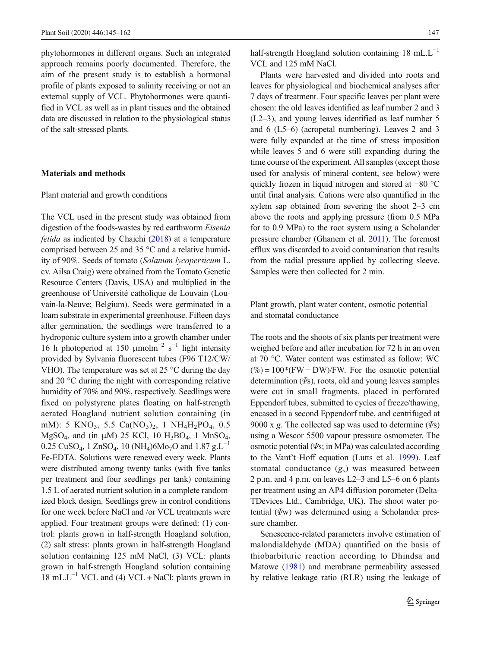phytohormones in different organs. Such an integrated approach remains poorly documented. Therefore, the aim of the present study is to establish a hormonal profile of plants exposed to salinity receiving or not an external supply of VCL. Phytohormones were quantified in VCL as well as in plant tissues and the obtained data are discussed in relation to the physiological status of the salt-stressed plants.

#### Materials and methods

#### Plant material and growth conditions

The VCL used in the present study was obtained from digestion of the foods-wastes by red earthworm Eisenia fetida as indicated by Chaichi [\(2018\)](#page-15-0) at a temperature comprised between 25 and 35 °C and a relative humidity of 90%. Seeds of tomato (Solanum lycopersicum L. cv. Ailsa Craig) were obtained from the Tomato Genetic Resource Centers (Davis, USA) and multiplied in the greenhouse of Université catholique de Louvain (Louvain-la-Neuve; Belgium). Seeds were germinated in a loam substrate in experimental greenhouse. Fifteen days after germination, the seedlings were transferred to a hydroponic culture system into a growth chamber under 16 h photoperiod at 150  $\mu$ molm<sup>-2</sup> s<sup>-1</sup> light intensity provided by Sylvania fluorescent tubes (F96 T12/CW/ VHO). The temperature was set at  $25^{\circ}$ C during the day and 20 °C during the night with corresponding relative humidity of 70% and 90%, respectively. Seedlings were fixed on polystyrene plates floating on half-strength aerated Hoagland nutrient solution containing (in mM): 5 KNO<sub>3</sub>, 5.5 Ca(NO<sub>3</sub>)<sub>2</sub>, 1 NH<sub>4</sub>H<sub>2</sub>PO<sub>4</sub>, 0.5 MgSO<sub>4</sub>, and (in  $\mu$ M) 25 KCl, 10 H<sub>3</sub>BO<sub>4</sub>, 1 MnSO<sub>4</sub>,  $0.25 \text{ CuSO}_4$ , 1 ZnSO<sub>4</sub>, 10 (NH<sub>4</sub>)6Mo<sub>7</sub>O and 1.87 g.L<sup>-1</sup> Fe-EDTA. Solutions were renewed every week. Plants were distributed among twenty tanks (with five tanks per treatment and four seedlings per tank) containing 1.5 L of aerated nutrient solution in a complete randomized block design. Seedlings grew in control conditions for one week before NaCl and /or VCL treatments were applied. Four treatment groups were defined: (1) control: plants grown in half-strength Hoagland solution, (2) salt stress: plants grown in half-strength Hoagland solution containing 125 mM NaCl, (3) VCL: plants grown in half-strength Hoagland solution containing  $18 \text{ mL}$ . $L^{-1}$  VCL and (4) VCL + NaCl: plants grown in half-strength Hoagland solution containing 18 mL.L−<sup>1</sup> VCL and 125 mM NaCl.

Plants were harvested and divided into roots and leaves for physiological and biochemical analyses after 7 days of treatment. Four specific leaves per plant were chosen: the old leaves identified as leaf number 2 and 3 (L2–3), and young leaves identified as leaf number 5 and 6 (L5–6) (acropetal numbering). Leaves 2 and 3 were fully expanded at the time of stress imposition while leaves 5 and 6 were still expanding during the time course of the experiment. All samples (except those used for analysis of mineral content, see below) were quickly frozen in liquid nitrogen and stored at −80 °C until final analysis. Cations were also quantified in the xylem sap obtained from severing the shoot 2–3 cm above the roots and applying pressure (from 0.5 MPa for to 0.9 MPa) to the root system using a Scholander pressure chamber (Ghanem et al. [2011\)](#page-16-0). The foremost efflux was discarded to avoid contamination that results from the radial pressure applied by collecting sleeve. Samples were then collected for 2 min.

Plant growth, plant water content, osmotic potential and stomatal conductance

The roots and the shoots of six plants per treatment were weighed before and after incubation for 72 h in an oven at 70 °C. Water content was estimated as follow: WC  $(\%)=100*(FW-DW)/FW$ . For the osmotic potential determination  $(\Psi s)$ , roots, old and young leaves samples were cut in small fragments, placed in perforated Eppendorf tubes, submitted to cycles of freeze/thawing, encased in a second Eppendorf tube, and centrifuged at 9000 x g. The collected sap was used to determine  $(\Psi s)$ using a Wescor 5500 vapour pressure osmometer. The osmotic potential  $(\Psi s; \text{in MPa})$  was calculated according to the Vant't Hoff equation (Lutts et al. [1999\)](#page-16-0). Leaf stomatal conductance  $(g_s)$  was measured between 2 p.m. and 4 p.m. on leaves L2–3 and L5–6 on 6 plants per treatment using an AP4 diffusion porometer (Delta-TDevices Ltd., Cambridge, UK). The shoot water potential  $(\Psi w)$  was determined using a Scholander pressure chamber.

Senescence-related parameters involve estimation of malondialdehyde (MDA) quantified on the basis of thiobarbituric reaction according to Dhindsa and Matowe [\(1981\)](#page-15-0) and membrane permeability assessed by relative leakage ratio (RLR) using the leakage of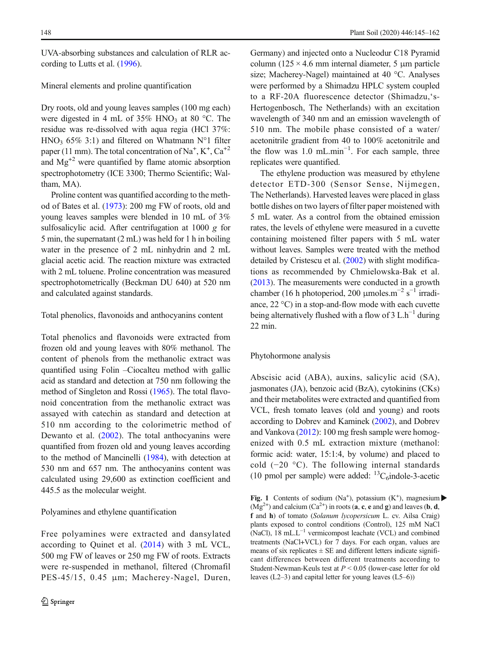UVA-absorbing substances and calculation of RLR according to Lutts et al. [\(1996\)](#page-16-0).

## Mineral elements and proline quantification

Dry roots, old and young leaves samples (100 mg each) were digested in 4 mL of  $35\%$  HNO<sub>3</sub> at 80 °C. The residue was re-dissolved with aqua regia (HCl 37%: HNO<sub>3</sub> 65% 3:1) and filtered on Whatmann N°1 filter paper (11 mm). The total concentration of  $\mathrm{Na}^+$ ,  $\mathrm{K}^+$ ,  $\mathrm{Ca}^{+2}$ and  $Mg^{2}$  were quantified by flame atomic absorption spectrophotometry (ICE 3300; Thermo Scientific; Waltham, MA).

Proline content was quantified according to the method of Bates et al. ([1973](#page-15-0)): 200 mg FW of roots, old and young leaves samples were blended in 10 mL of 3% sulfosalicylic acid. After centrifugation at 1000 g for 5 min, the supernatant (2 mL) was held for 1 h in boiling water in the presence of 2 mL ninhydrin and 2 mL glacial acetic acid. The reaction mixture was extracted with 2 mL toluene. Proline concentration was measured spectrophotometrically (Beckman DU 640) at 520 nm and calculated against standards.

## Total phenolics, flavonoids and anthocyanins content

Total phenolics and flavonoids were extracted from frozen old and young leaves with 80% methanol. The content of phenols from the methanolic extract was quantified using Folin –Ciocalteu method with gallic acid as standard and detection at 750 nm following the method of Singleton and Rossi ([1965](#page-17-0)). The total flavonoid concentration from the methanolic extract was assayed with catechin as standard and detection at 510 nm according to the colorimetric method of Dewanto et al. [\(2002](#page-15-0)). The total anthocyanins were quantified from frozen old and young leaves according to the method of Mancinelli ([1984](#page-16-0)), with detection at 530 nm and 657 nm. The anthocyanins content was calculated using 29,600 as extinction coefficient and 445.5 as the molecular weight.

#### Polyamines and ethylene quantification

Free polyamines were extracted and dansylated according to Quinet et al. [\(2014](#page-16-0)) with 3 mL VCL, 500 mg FW of leaves or 250 mg FW of roots. Extracts were re-suspended in methanol, filtered (Chromafil PES-45/15, 0.45 μm; Macherey-Nagel, Duren, Germany) and injected onto a Nucleodur C18 Pyramid column ( $125 \times 4.6$  mm internal diameter, 5  $\mu$ m particle size; Macherey-Nagel) maintained at 40 °C. Analyses were performed by a Shimadzu HPLC system coupled to a RF-20A fluorescence detector (Shimadzu,'s-Hertogenbosch, The Netherlands) with an excitation wavelength of 340 nm and an emission wavelength of 510 nm. The mobile phase consisted of a water/ acetonitrile gradient from 40 to 100% acetonitrile and the flow was 1.0 mL.min−<sup>1</sup> . For each sample, three replicates were quantified.

The ethylene production was measured by ethylene detector ETD-300 (Sensor Sense, Nijmegen, The Netherlands). Harvested leaves were placed in glass bottle dishes on two layers of filter paper moistened with 5 mL water. As a control from the obtained emission rates, the levels of ethylene were measured in a cuvette containing moistened filter papers with 5 mL water without leaves. Samples were treated with the method detailed by Cristescu et al. ([2002](#page-15-0)) with slight modifications as recommended by Chmielowska-Bak et al. [\(2013\)](#page-15-0). The measurements were conducted in a growth chamber (16 h photoperiod, 200 µmoles.m<sup>-2</sup> s<sup>-1</sup> irradiance, 22 °C) in a stop-and-flow mode with each cuvette being alternatively flushed with a flow of 3 L.h<sup>-1</sup> during 22 min.

# Phytohormone analysis

Abscisic acid (ABA), auxins, salicylic acid (SA), jasmonates (JA), benzoic acid (BzA), cytokinins (CKs) and their metabolites were extracted and quantified from VCL, fresh tomato leaves (old and young) and roots according to Dobrev and Kaminek [\(2002\)](#page-16-0), and Dobrev and Vankova [\(2012\)](#page-16-0): 100 mg fresh sample were homogenized with 0.5 mL extraction mixture (methanol: formic acid: water, 15:1:4, by volume) and placed to cold (−20 °C). The following internal standards (10 pmol per sample) were added:  ${}^{13}C_6$ indole-3-acetic

Fig. 1 Contents of sodium (Na<sup>+</sup>), potassium (K<sup>+</sup>), magnesium  $(Mg<sup>2+</sup>)$  and calcium  $(Ca<sup>2+</sup>)$  in roots (**a**, **c**, **e** and **g**) and leaves (**b**, **d**, f and h) of tomato (Solanum lycopersicum L. cv. Ailsa Craig) plants exposed to control conditions (Control), 125 mM NaCl (NaCl), 18 mL.L−<sup>1</sup> vermicompost leachate (VCL) and combined treatments (NaCl+VCL) for 7 days. For each organ, values are means of six replicates  $\pm$  SE and different letters indicate significant differences between different treatments according to Student-Newman-Keuls test at  $P < 0.05$  (lower-case letter for old leaves (L2–3) and capital letter for young leaves (L5–6))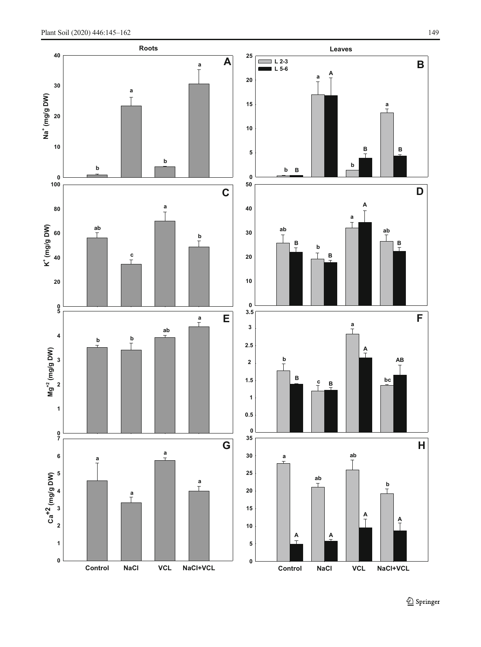<span id="page-4-0"></span>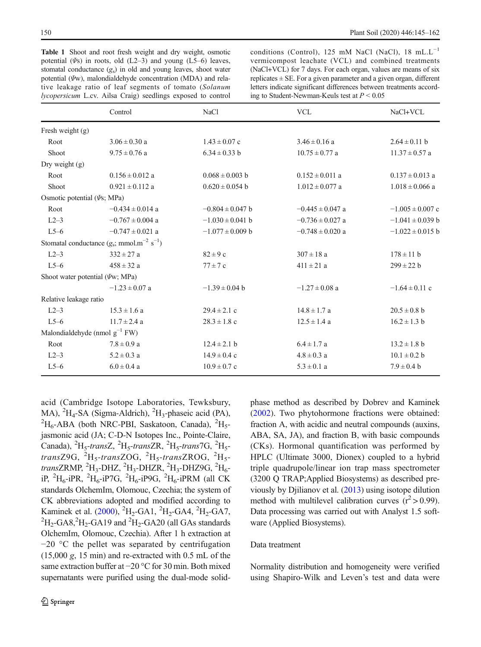<span id="page-5-0"></span>Table 1 Shoot and root fresh weight and dry weight, osmotic potential  $(\Psi s)$  in roots, old (L2–3) and young (L5–6) leaves, stomatal conductance  $(g_s)$  in old and young leaves, shoot water potential (Ψw), malondialdehyde concentration (MDA) and relative leakage ratio of leaf segments of tomato (Solanum lycopersicum L.cv. Ailsa Craig) seedlings exposed to control

conditions (Control), 125 mM NaCl (NaCl), 18 mL.L<sup>-1</sup> vermicompost leachate (VCL) and combined treatments (NaCl+VCL) for 7 days. For each organ, values are means of six replicates ± SE. For a given parameter and a given organ, different letters indicate significant differences between treatments according to Student-Newman-Keuls test at  $P \leq 0.05$ 

|                                   | Control                                                         | NaCl                 | <b>VCL</b>           | NaCl+VCL             |
|-----------------------------------|-----------------------------------------------------------------|----------------------|----------------------|----------------------|
| Fresh weight (g)                  |                                                                 |                      |                      |                      |
| Root                              | $3.06 \pm 0.30$ a                                               | $1.43 \pm 0.07$ c    | $3.46 \pm 0.16$ a    | $2.64 \pm 0.11$ b    |
| Shoot                             | $9.75 \pm 0.76$ a                                               | $6.34 \pm 0.33$ b    | $10.75 \pm 0.77$ a   | $11.37 \pm 0.57$ a   |
| Dry weight (g)                    |                                                                 |                      |                      |                      |
| Root                              | $0.156 \pm 0.012$ a                                             | $0.068 \pm 0.003$ b  | $0.152 \pm 0.011$ a  | $0.137 \pm 0.013$ a  |
| Shoot                             | $0.921 \pm 0.112$ a                                             | $0.620 \pm 0.054$ b  | $1.012 \pm 0.077$ a  | $1.018 \pm 0.066$ a  |
| Osmotic potential $(\Psi s; MPa)$ |                                                                 |                      |                      |                      |
| Root                              | $-0.434 \pm 0.014$ a                                            | $-0.804 \pm 0.047$ b | $-0.445 \pm 0.047$ a | $-1.005 \pm 0.007$ c |
| $L2-3$                            | $-0.767 \pm 0.004$ a                                            | $-1.030 \pm 0.041$ b | $-0.736 \pm 0.027$ a | $-1.041 \pm 0.039$ b |
| $L5-6$                            | $-0.747 \pm 0.021$ a                                            | $-1.077 \pm 0.009$ b | $-0.748 \pm 0.020$ a | $-1.022 \pm 0.015$ b |
|                                   | Stomatal conductance $(g_s; \text{mmol.m}^{-2} \text{ s}^{-1})$ |                      |                      |                      |
| $L2-3$                            | $332 \pm 27$ a                                                  | $82 \pm 9c$          | $307 \pm 18$ a       | $178 \pm 11$ b       |
| $L5-6$                            | $458 \pm 32$ a                                                  | $77 \pm 7$ c         | $411 \pm 21$ a       | $299 \pm 22 b$       |
|                                   | Shoot water potential $(\Psi w; MPa)$                           |                      |                      |                      |
|                                   | $-1.23 \pm 0.07$ a                                              | $-1.39 \pm 0.04$ b   | $-1.27 \pm 0.08$ a   | $-1.64 \pm 0.11$ c   |
| Relative leakage ratio            |                                                                 |                      |                      |                      |
| $L2-3$                            | $15.3 \pm 1.6$ a                                                | $29.4 \pm 2.1$ c     | $14.8 \pm 1.7$ a     | $20.5 \pm 0.8$ b     |
| $L5-6$                            | $11.7 \pm 2.4$ a                                                | $28.3 \pm 1.8$ c     | $12.5 \pm 1.4$ a     | $16.2 \pm 1.3$ b     |
|                                   | Malondialdehyde (nmol $g^{-1}$ FW)                              |                      |                      |                      |
| Root                              | $7.8 \pm 0.9$ a                                                 | $12.4 \pm 2.1$ b     | $6.4 \pm 1.7 a$      | $13.2 \pm 1.8$ b     |
| $L2-3$                            | $5.2 \pm 0.3$ a                                                 | $14.9 \pm 0.4$ c     | $4.8 \pm 0.3$ a      | $10.1 \pm 0.2$ b     |
| $L5-6$                            | $6.0 \pm 0.4$ a                                                 | $10.9 \pm 0.7$ c     | $5.3 \pm 0.1$ a      | $7.9 \pm 0.4 b$      |

acid (Cambridge Isotope Laboratories, Tewksbury, MA), <sup>2</sup>H<sub>4</sub>-SA (Sigma-Aldrich), <sup>2</sup>H<sub>3</sub>-phaseic acid (PA), <sup>2</sup>H<sub>3</sub>-ABA (both NBC PBI, Saskatoon, Canada), <sup>2</sup>H<sub>2</sub>  $H_6$ -ABA (both NRC-PBI, Saskatoon, Canada),  ${}^{2}H_5$ jasmonic acid (JA; C-D-N Isotopes Inc., Pointe-Claire, Canada),  ${}^{2}H_{5}$ -transZ,  ${}^{2}H_{5}$ -transZR,  ${}^{2}H_{5}$ -trans7G,  ${}^{2}H_{5}$ transZ9G,  ${}^{2}H_{5}$ -transZOG,  ${}^{2}H_{5}$ -transZROG,  ${}^{2}H_{5}$ transZRMP, <sup>2</sup>H<sub>3</sub>-DHZ, <sup>2</sup>H<sub>3</sub>-DHZR, <sup>2</sup>H<sub>3</sub>-DHZ9G, <sup>2</sup>H<sub>6</sub>iP,  ${}^{2}H_{6}$ -iPR,  ${}^{2}H_{6}$ -iP7G,  ${}^{2}H_{6}$ -iP9G,  ${}^{2}H_{6}$ -iPRM (all CK standards OlchemIm, Olomouc, Czechia; the system of CK abbreviations adopted and modified according to Kaminek et al. [\(2000\)](#page-16-0), <sup>2</sup>H<sub>2</sub>-GA1, <sup>2</sup>H<sub>2</sub>-GA4, <sup>2</sup>H<sub>2</sub>-GA7,<br><sup>2</sup>H<sub>2</sub> GA8<sup>2</sup>H<sub>2</sub> GA19 and <sup>2</sup>H<sub>2</sub> GA20 (all GAs standards)  $H_2$ -GA8,<sup>2</sup> $H_2$ -GA19 and <sup>2</sup> $H_2$ -GA20 (all GAs standards OlchemIm, Olomouc, Czechia). After 1 h extraction at −20 °C the pellet was separated by centrifugation (15,000 g, 15 min) and re-extracted with 0.5 mL of the same extraction buffer at −20 °C for 30 min. Both mixed supernatants were purified using the dual-mode solidphase method as described by Dobrev and Kaminek [\(2002](#page-16-0)). Two phytohormone fractions were obtained: fraction A, with acidic and neutral compounds (auxins, ABA, SA, JA), and fraction B, with basic compounds (CKs). Hormonal quantification was performed by HPLC (Ultimate 3000, Dionex) coupled to a hybrid triple quadrupole/linear ion trap mass spectrometer (3200 Q TRAP;Applied Biosystems) as described previously by Djilianov et al. [\(2013\)](#page-16-0) using isotope dilution method with multilevel calibration curves  $(r^2 > 0.99)$ . Data processing was carried out with Analyst 1.5 software (Applied Biosystems).

# Data treatment

Normality distribution and homogeneity were verified using Shapiro-Wilk and Leven's test and data were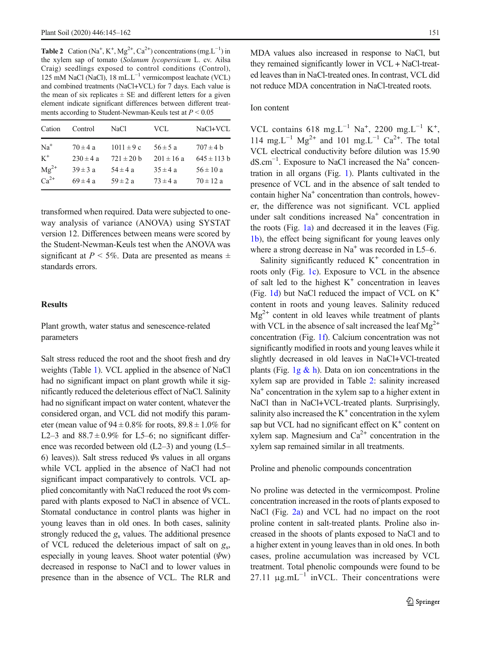**Table 2** Cation (Na<sup>+</sup>, K<sup>+</sup>, Mg<sup>2+</sup>, Ca<sup>2+</sup>) concentrations (mg.L<sup>-1</sup>) in the xylem sap of tomato (Solanum lycopersicum L. cv. Ailsa Craig) seedlings exposed to control conditions (Control), 125 mM NaCl (NaCl), 18 mL.L−<sup>1</sup> vermicompost leachate (VCL) and combined treatments (NaCl+VCL) for 7 days. Each value is the mean of six replicates  $\pm$  SE and different letters for a given element indicate significant differences between different treatments according to Student-Newman-Keuls test at  $P \leq 0.05$ 

| Cation    | Control       | NaCl           | VCL            | NaCl+VCL        |
|-----------|---------------|----------------|----------------|-----------------|
| $Na+$     | $70 \pm 4 a$  | $1011 \pm 9c$  | $56 \pm 5 a$   | $707 \pm 4 h$   |
| $K^+$     | $230 \pm 4 a$ | $721 \pm 20$ b | $201 \pm 16$ a | $645 \pm 113$ h |
| $Mg^{2+}$ | $39 \pm 3$ a  | $54 \pm 4 a$   | $35 \pm 4 a$   | $56 \pm 10 a$   |
| $Ca^{2+}$ | $69 \pm 4 a$  | $59 \pm 2 a$   | $73 \pm 4 a$   | $70 \pm 12 a$   |
|           |               |                |                |                 |

transformed when required. Data were subjected to oneway analysis of variance (ANOVA) using SYSTAT version 12. Differences between means were scored by the Student-Newman-Keuls test when the ANOVA was significant at  $P < 5\%$ . Data are presented as means  $\pm$ standards errors.

# Results

Plant growth, water status and senescence-related parameters

Salt stress reduced the root and the shoot fresh and dry weights (Table [1](#page-5-0)). VCL applied in the absence of NaCl had no significant impact on plant growth while it significantly reduced the deleterious effect of NaCl. Salinity had no significant impact on water content, whatever the considered organ, and VCL did not modify this parameter (mean value of  $94 \pm 0.8\%$  for roots,  $89.8 \pm 1.0\%$  for L2–3 and  $88.7 \pm 0.9\%$  for L5–6; no significant difference was recorded between old (L2–3) and young (L5– 6) leaves)). Salt stress reduced  $\mathcal{V}$ s values in all organs while VCL applied in the absence of NaCl had not significant impact comparatively to controls. VCL applied concomitantly with NaCl reduced the root Ψs compared with plants exposed to NaCl in absence of VCL. Stomatal conductance in control plants was higher in young leaves than in old ones. In both cases, salinity strongly reduced the  $g_s$  values. The additional presence of VCL reduced the deleterious impact of salt on  $g<sub>s</sub>$ , especially in young leaves. Shoot water potential  $(\Psi w)$ decreased in response to NaCl and to lower values in presence than in the absence of VCL. The RLR and MDA values also increased in response to NaCl, but they remained significantly lower in VCL + NaCl-treated leaves than in NaCl-treated ones. In contrast, VCL did not reduce MDA concentration in NaCl-treated roots.

## Ion content

VCL contains 618 mg.L<sup>-1</sup> Na<sup>+</sup>, 2200 mg.L<sup>-1</sup> K<sup>+</sup>, 114 mg.L<sup>-1</sup> Mg<sup>2+</sup> and 101 mg.L<sup>-1</sup> Ca<sup>2+</sup>. The total VCL electrical conductivity before dilution was 15.90 dS.cm<sup>-1</sup>. Exposure to NaCl increased the Na<sup>+</sup> concentration in all organs (Fig. [1](#page-4-0)). Plants cultivated in the presence of VCL and in the absence of salt tended to contain higher  $Na<sup>+</sup>$  concentration than controls, however, the difference was not significant. VCL applied under salt conditions increased Na<sup>+</sup> concentration in the roots (Fig.  $1a$ ) and decreased it in the leaves (Fig. [1b\)](#page-4-0), the effect being significant for young leaves only where a strong decrease in  $Na<sup>+</sup>$  was recorded in L5–6.

Salinity significantly reduced  $K^+$  concentration in roots only (Fig. [1c\)](#page-4-0). Exposure to VCL in the absence of salt led to the highest  $K^+$  concentration in leaves (Fig. [1d\)](#page-4-0) but NaCl reduced the impact of VCL on K+ content in roots and young leaves. Salinity reduced  $\text{Mg}^{2+}$  content in old leaves while treatment of plants with VCL in the absence of salt increased the leaf  $Mg^{2+}$ concentration (Fig. [1f\)](#page-4-0). Calcium concentration was not significantly modified in roots and young leaves while it slightly decreased in old leaves in NaCl+VCl-treated plants (Fig.  $1g \& h$ ). Data on ion concentrations in the xylem sap are provided in Table 2: salinity increased  $Na<sup>+</sup>$  concentration in the xylem sap to a higher extent in NaCl than in NaCl+VCL-treated plants. Surprisingly, salinity also increased the  $K^+$  concentration in the xylem sap but VCL had no significant effect on  $K^+$  content on xylem sap. Magnesium and  $Ca^{2+}$  concentration in the xylem sap remained similar in all treatments.

Proline and phenolic compounds concentration

No proline was detected in the vermicompost. Proline concentration increased in the roots of plants exposed to NaCl (Fig. [2a\)](#page-7-0) and VCL had no impact on the root proline content in salt-treated plants. Proline also increased in the shoots of plants exposed to NaCl and to a higher extent in young leaves than in old ones. In both cases, proline accumulation was increased by VCL treatment. Total phenolic compounds were found to be 27.11  $\mu$ g.mL<sup>-1</sup> inVCL. Their concentrations were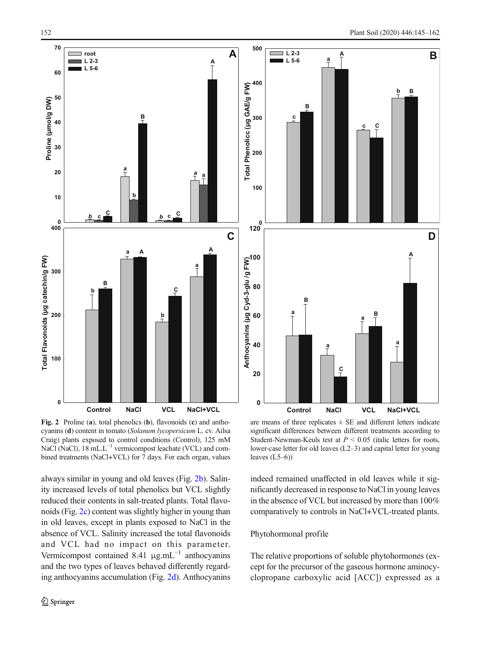<span id="page-7-0"></span>

Fig. 2 Proline (a), total phenolics (b), flavonoids (c) and anthocyanins (d) content in tomato (Solanum lycopersicum L. cv. Ailsa Craig) plants exposed to control conditions (Control), 125 mM NaCl (NaCl), 18 mL.L<sup>-1</sup> vermicompost leachate (VCL) and combined treatments (NaCl+VCL) for 7 days. For each organ, values

always similar in young and old leaves (Fig. 2b). Salinity increased levels of total phenolics but VCL slightly reduced their contents in salt-treated plants. Total flavonoids (Fig. 2c) content was slightly higher in young than in old leaves, except in plants exposed to NaCl in the absence of VCL. Salinity increased the total flavonoids and VCL had no impact on this parameter. Vermicompost contained 8.41  $\mu$ g.mL<sup>-1</sup> anthocyanins and the two types of leaves behaved differently regarding anthocyanins accumulation (Fig. 2d). Anthocyanins

are means of three replicates  $\pm$  SE and different letters indicate significant differences between different treatments according to Student-Newman-Keuls test at  $P < 0.05$  (italic letters for roots, lower-case letter for old leaves (L2–3) and capital letter for young leaves (L5–6))

indeed remained unaffected in old leaves while it significantly decreased in response to NaCl in young leaves in the absence of VCL but increased by more than 100% comparatively to controls in NaCl+VCL-treated plants.

# Phytohormonal profile

The relative proportions of soluble phytohormones (except for the precursor of the gaseous hormone aminocyclopropane carboxylic acid [ACC]) expressed as a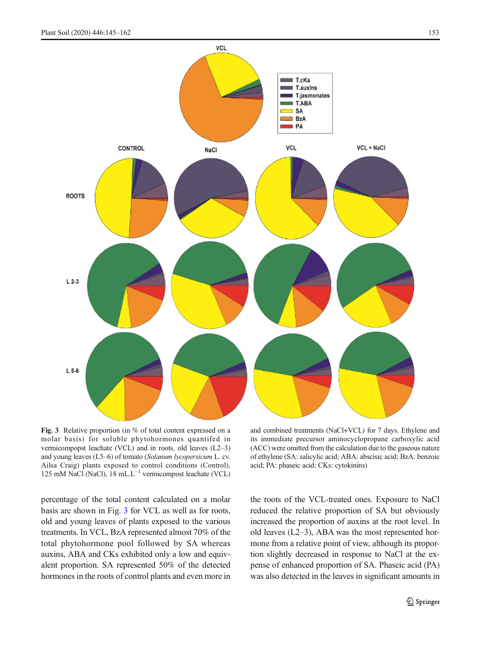

Fig. 3 Relative proportion (in % of total content expressed on a molar basis) for soluble phytohormones quantifed in vermicompopst leachate (VCL) and in roots, old leaves (L2–3) and young leaves (L5–6) of tomato (Solanum lycopersicum L. cv. Ailsa Craig) plants exposed to control conditions (Control), 125 mM NaCl (NaCl), 18 mL.L−<sup>1</sup> vermicompost leachate (VCL)

and combined treatments (NaCl+VCL) for 7 days. Ethylene and its immediate precursor aminocyclopropane carboxylic acid (ACC) were omitted from the calculation due to the gaseous nature of ethylene (SA: salicylic acid; ABA: abscisic acid; BzA: benzoic acid; PA: phaseic acid; CKs: cytokinins)

percentage of the total content calculated on a molar basis are shown in Fig. 3 for VCL as well as for roots, old and young leaves of plants exposed to the various treatments. In VCL, BzA represented almost 70% of the total phytohormone pool followed by SA whereas auxins, ABA and CKs exhibited only a low and equivalent proportion. SA represented 50% of the detected hormones in the roots of control plants and even more in the roots of the VCL-treated ones. Exposure to NaCl reduced the relative proportion of SA but obviously increased the proportion of auxins at the root level. In old leaves (L2–3), ABA was the most represented hormone from a relative point of view, although its proportion slightly decreased in response to NaCl at the expense of enhanced proportion of SA. Phaseic acid (PA) was also detected in the leaves in significant amounts in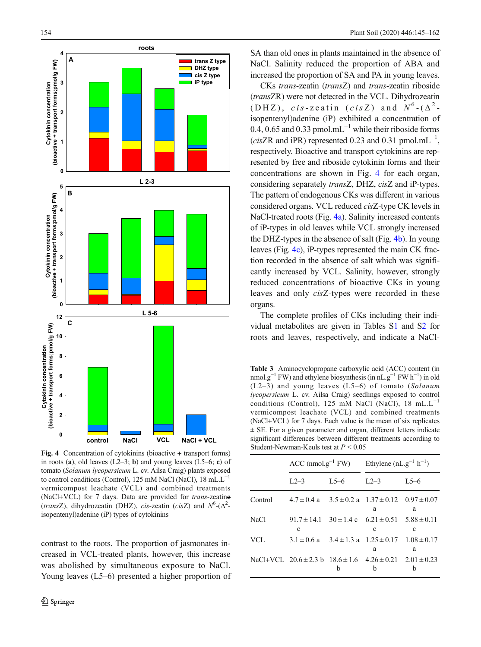<span id="page-9-0"></span>

Fig. 4 Concentration of cytokinins (bioactive + transport forms) in roots (a), old leaves  $(L2-3; \mathbf{b})$  and young leaves  $(L5-6; \mathbf{c})$  of tomato (Solanum lycopersicum L. cv. Ailsa Craig) plants exposed to control conditions (Control), 125 mM NaCl (NaCl), 18 mL.L−<sup>1</sup> vermicompost leachate (VCL) and combined treatments (NaCl+VCL) for 7 days. Data are provided for trans-zeatine (transZ), dihydrozeatin (DHZ), cis-zeatin (cisZ) and  $N^6$ -( $\Delta^2$ isopentenyl)adenine (iP) types of cytokinins

contrast to the roots. The proportion of jasmonates increased in VCL-treated plants, however, this increase was abolished by simultaneous exposure to NaCl. Young leaves (L5–6) presented a higher proportion of SA than old ones in plants maintained in the absence of NaCl. Salinity reduced the proportion of ABA and increased the proportion of SA and PA in young leaves.

CKs trans-zeatin (transZ) and trans-zeatin riboside (transZR) were not detected in the VCL. Dihydrozeatin (DHZ), cis-zeatin (cisZ) and  $N^6$ -( $\Delta^2$ isopentenyl)adenine (iP) exhibited a concentration of 0.4, 0.65 and 0.33 pmol.mL<sup> $-1$ </sup> while their riboside forms (cisZR and iPR) represented 0.23 and 0.31 pmol.mL<sup>-1</sup>, respectively. Bioactive and transport cytokinins are represented by free and riboside cytokinin forms and their concentrations are shown in Fig. 4 for each organ, considering separately transZ, DHZ, cisZ and iP-types. The pattern of endogenous CKs was different in various considered organs. VCL reduced cisZ-type CK levels in NaCl-treated roots (Fig. 4a). Salinity increased contents of iP-types in old leaves while VCL strongly increased the DHZ-types in the absence of salt (Fig. 4b). In young leaves (Fig. 4c), iP-types represented the main CK fraction recorded in the absence of salt which was significantly increased by VCL. Salinity, however, strongly reduced concentrations of bioactive CKs in young leaves and only cisZ-types were recorded in these organs.

The complete profiles of CKs including their individual metabolites are given in Tables S1 and S2 for roots and leaves, respectively, and indicate a NaCl-

Table 3 Aminocyclopropane carboxylic acid (ACC) content (in nmol.g<sup>-1</sup> FW) and ethylene biosynthesis (in nL.g<sup>-1</sup> FW h<sup>-1</sup>) in old (L2–3) and young leaves (L5–6) of tomato (Solanum lycopersicum L. cv. Ailsa Craig) seedlings exposed to control conditions (Control), 125 mM NaCl (NaCl), 18 mL. $L^{-1}$ vermicompost leachate (VCL) and combined treatments (NaCl+VCL) for 7 days. Each value is the mean of six replicates ± SE. For a given parameter and organ, different letters indicate significant differences between different treatments according to Student-Newman-Keuls test at  $P < 0.05$ 

|         | $ACC \text{ (nmol.g}^{-1} \text{ FW)}$ Ethylene (nL.g <sup>-1</sup> h <sup>-1</sup> ) |          |                                                                      |        |
|---------|---------------------------------------------------------------------------------------|----------|----------------------------------------------------------------------|--------|
|         | $L2-3$                                                                                | $L5 - 6$ | $1.2 - 3$                                                            | $L5-6$ |
| Control | $4.7 \pm 0.4$ a $3.5 \pm 0.2$ a $1.37 \pm 0.12$ $0.97 \pm 0.07$                       |          | a                                                                    | a      |
| NaCl    | c                                                                                     |          | $91.7 \pm 14.1$ $30 \pm 1.4$ c $6.21 \pm 0.51$ $5.88 \pm 0.11$<br>c  | c      |
| VCL     |                                                                                       |          | $3.1 \pm 0.6$ a $3.4 \pm 1.3$ a $1.25 \pm 0.17$ $1.08 \pm 0.17$<br>a | a      |
|         | NaCl+VCL $20.6 \pm 2.3$ b $18.6 \pm 1.6$ $4.26 \pm 0.21$ $2.01 \pm 0.23$              | h        | h                                                                    | h      |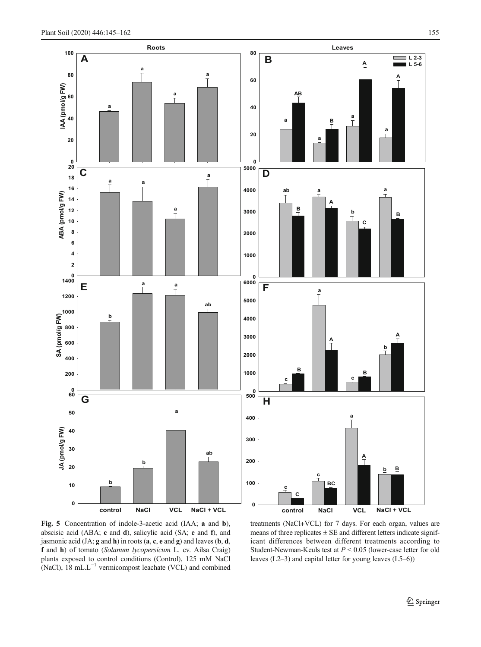<span id="page-10-0"></span>

Fig. 5 Concentration of indole-3-acetic acid (IAA; a and b), abscisic acid (ABA; c and d), salicylic acid (SA; e and f), and jasmonic acid  $(JA; g and h)$  in roots  $(a, c, e$  and  $g)$  and leaves  $(b, d, d)$ f and h) of tomato (Solanum lycopersicum L. cv. Ailsa Craig) plants exposed to control conditions (Control), 125 mM NaCl (NaCl), 18 mL.L−<sup>1</sup> vermicompost leachate (VCL) and combined

treatments (NaCl+VCL) for 7 days. For each organ, values are means of three replicates  $\pm$  SE and different letters indicate significant differences between different treatments according to Student-Newman-Keuls test at  $P < 0.05$  (lower-case letter for old leaves (L2–3) and capital letter for young leaves (L5–6))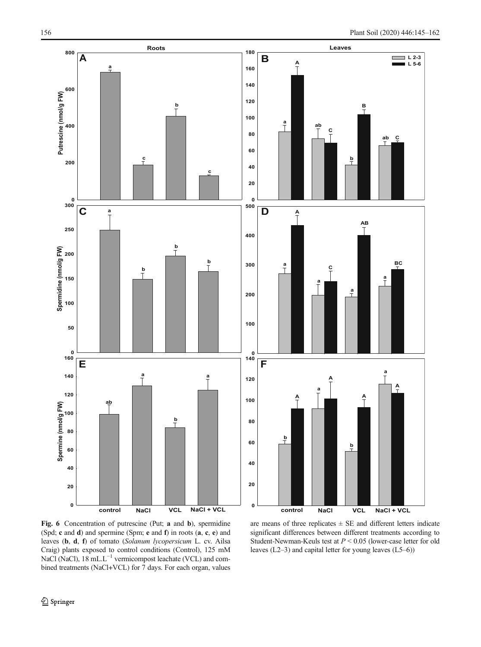<span id="page-11-0"></span>

Fig. 6 Concentration of putrescine (Put; a and b), spermidine (Spd; c and d) and spermine (Spm; e and f) in roots (a, c, e) and leaves (b, d, f) of tomato (Solanum lycopersicum L. cv. Ailsa Craig) plants exposed to control conditions (Control), 125 mM NaCl (NaCl), 18 mL.L<sup>-1</sup> vermicompost leachate (VCL) and combined treatments (NaCl+VCL) for 7 days. For each organ, values

are means of three replicates  $\pm$  SE and different letters indicate significant differences between different treatments according to Student-Newman-Keuls test at  $P < 0.05$  (lower-case letter for old leaves (L2–3) and capital letter for young leaves (L5–6))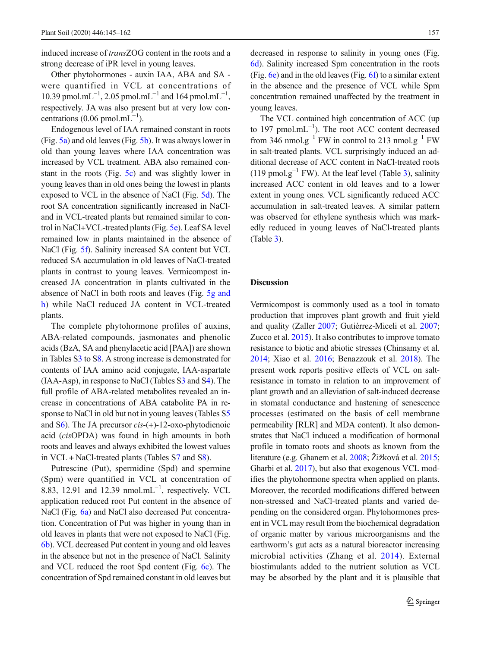induced increase of transZOG content in the roots and a strong decrease of iPR level in young leaves.

Other phytohormones - auxin IAA, ABA and SA were quantified in VCL at concentrations of 10.39 pmol.mL<sup>-1</sup>, 2.05 pmol.mL<sup>-1</sup> and 164 pmol.mL<sup>-1</sup>, respectively. JA was also present but at very low concentrations (0.06 pmol.mL<sup>-1</sup>).

Endogenous level of IAA remained constant in roots (Fig. [5a](#page-10-0)) and old leaves (Fig. [5b\)](#page-10-0). It was always lower in old than young leaves where IAA concentration was increased by VCL treatment. ABA also remained constant in the roots (Fig. [5c](#page-10-0)) and was slightly lower in young leaves than in old ones being the lowest in plants exposed to VCL in the absence of NaCl (Fig. [5d\)](#page-10-0). The root SA concentration significantly increased in NaCland in VCL-treated plants but remained similar to control in NaCl+VCL-treated plants (Fig. [5e](#page-10-0)). Leaf SA level remained low in plants maintained in the absence of NaCl (Fig. [5f\)](#page-10-0). Salinity increased SA content but VCL reduced SA accumulation in old leaves of NaCl-treated plants in contrast to young leaves. Vermicompost increased JA concentration in plants cultivated in the absence of NaCl in both roots and leaves (Fig. [5g and](#page-10-0) [h\)](#page-10-0) while NaCl reduced JA content in VCL-treated plants.

The complete phytohormone profiles of auxins, ABA-related compounds, jasmonates and phenolic acids (BzA, SA and phenylacetic acid [PAA]) are shown in Tables S3 to S8. A strong increase is demonstrated for contents of IAA amino acid conjugate, IAA-aspartate (IAA-Asp), in response to NaCl (Tables S3 and S4). The full profile of ABA-related metabolites revealed an increase in concentrations of ABA catabolite PA in response to NaCl in old but not in young leaves (Tables S5 and  $S_6$ ). The JA precursor  $cis$ -(+)-12-oxo-phytodienoic acid (cisOPDA) was found in high amounts in both roots and leaves and always exhibited the lowest values in VCL + NaCl-treated plants (Tables S7 and S8).

Putrescine (Put), spermidine (Spd) and spermine (Spm) were quantified in VCL at concentration of 8.83, 12.91 and 12.39 nmol.mL<sup>-1</sup>, respectively. VCL application reduced root Put content in the absence of NaCl (Fig. [6a\)](#page-11-0) and NaCl also decreased Put concentration. Concentration of Put was higher in young than in old leaves in plants that were not exposed to NaCl (Fig. [6b\)](#page-11-0). VCL decreased Put content in young and old leaves in the absence but not in the presence of NaCl. Salinity and VCL reduced the root Spd content (Fig. [6c\)](#page-11-0). The concentration of Spd remained constant in old leaves but

decreased in response to salinity in young ones (Fig. [6d\)](#page-11-0). Salinity increased Spm concentration in the roots (Fig. [6e](#page-11-0)) and in the old leaves (Fig. [6f](#page-11-0)) to a similar extent in the absence and the presence of VCL while Spm concentration remained unaffected by the treatment in young leaves.

The VCL contained high concentration of ACC (up to 197 pmol.mL $^{-1}$ ). The root ACC content decreased from 346 nmol.g<sup>-1</sup> FW in control to 213 nmol.g<sup>-1</sup> FW in salt-treated plants. VCL surprisingly induced an additional decrease of ACC content in NaCl-treated roots (119 pmol.g<sup>-1</sup> FW). At the leaf level (Table [3\)](#page-9-0), salinity increased ACC content in old leaves and to a lower extent in young ones. VCL significantly reduced ACC accumulation in salt-treated leaves. A similar pattern was observed for ethylene synthesis which was markedly reduced in young leaves of NaCl-treated plants (Table [3\)](#page-9-0).

#### **Discussion**

Vermicompost is commonly used as a tool in tomato production that improves plant growth and fruit yield and quality (Zaller [2007](#page-17-0); Gutiérrez-Miceli et al. [2007;](#page-16-0) Zucco et al. [2015](#page-17-0)). It also contributes to improve tomato resistance to biotic and abiotic stresses (Chinsamy et al. [2014](#page-15-0); Xiao et al. [2016;](#page-17-0) Benazzouk et al. [2018\)](#page-15-0). The present work reports positive effects of VCL on saltresistance in tomato in relation to an improvement of plant growth and an alleviation of salt-induced decrease in stomatal conductance and hastening of senescence processes (estimated on the basis of cell membrane permeability [RLR] and MDA content). It also demonstrates that NaCl induced a modification of hormonal profile in tomato roots and shoots as known from the literature (e.g. Ghanem et al. [2008;](#page-16-0) Žižková et al. [2015;](#page-17-0) Gharbi et al. [2017](#page-16-0)), but also that exogenous VCL modifies the phytohormone spectra when applied on plants. Moreover, the recorded modifications differed between non-stressed and NaCl-treated plants and varied depending on the considered organ. Phytohormones present in VCL may result from the biochemical degradation of organic matter by various microorganisms and the earthworm's gut acts as a natural bioreactor increasing microbial activities (Zhang et al. [2014](#page-17-0)). External biostimulants added to the nutrient solution as VCL may be absorbed by the plant and it is plausible that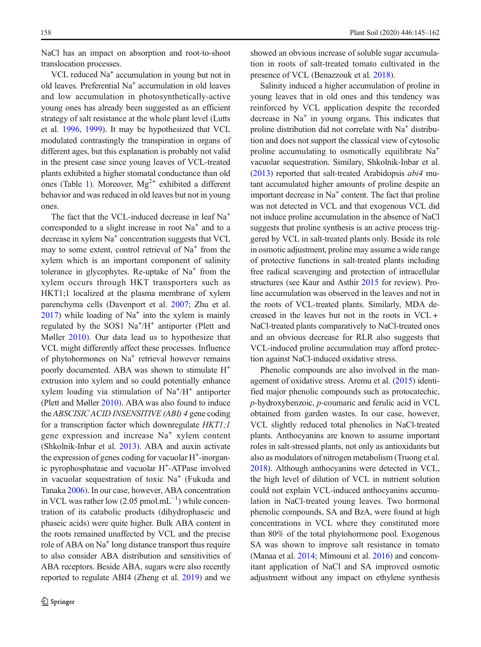NaCl has an impact on absorption and root-to-shoot translocation processes.

VCL reduced  $Na<sup>+</sup>$  accumulation in young but not in old leaves. Preferential  $Na<sup>+</sup>$  accumulation in old leaves and low accumulation in photosynthetically-active young ones has already been suggested as an efficient strategy of salt resistance at the whole plant level (Lutts et al. [1996](#page-16-0), [1999](#page-16-0)). It may be hypothesized that VCL modulated contrastingly the transpiration in organs of different ages, but this explanation is probably not valid in the present case since young leaves of VCL-treated plants exhibited a higher stomatal conductance than old ones (Table [1\)](#page-5-0). Moreover,  $Mg^{2+}$  exhibited a different behavior and was reduced in old leaves but not in young ones.

The fact that the VCL-induced decrease in leaf Na<sup>+</sup> corresponded to a slight increase in root  $Na<sup>+</sup>$  and to a decrease in xylem  $Na<sup>+</sup>$  concentration suggests that VCL may to some extent, control retrieval of  $Na<sup>+</sup>$  from the xylem which is an important component of salinity tolerance in glycophytes. Re-uptake of  $Na<sup>+</sup>$  from the xylem occurs through HKT transporters such as HKT1;1 localized at the plasma membrane of xylem parenchyma cells (Davenport et al. [2007](#page-15-0); Zhu et al.  $2017$ ) while loading of Na<sup>+</sup> into the xylem is mainly regulated by the SOS1 Na<sup>+</sup>/H<sup>+</sup> antiporter (Plett and Møller [2010](#page-16-0)). Our data lead us to hypothesize that VCL might differently affect these processes. Influence of phytohormones on Na<sup>+</sup> retrieval however remains poorly documented. ABA was shown to stimulate H+ extrusion into xylem and so could potentially enhance xylem loading via stimulation of Na<sup>+</sup>/H<sup>+</sup> antiporter (Plett and Møller [2010\)](#page-16-0). ABA was also found to induce the ABSCISIC ACID INSENSITIVE (ABI) 4 gene coding for a transcription factor which downregulate  $HKT1;1$ gene expression and increase  $Na<sup>+</sup>$  xylem content (Shkolnik-Inbar et al. [2013](#page-17-0)). ABA and auxin activate the expression of genes coding for vacuolar H<sup>+</sup>-inorganic pyrophosphatase and vacuolar H<sup>+</sup>-ATPase involved in vacuolar sequestration of toxic  $Na<sup>+</sup>$  (Fukuda and Tanaka [2006](#page-16-0)). In our case, however, ABA concentration in VCL was rather low (2.05 pmol.mL<sup>-1</sup>) while concentration of its catabolic products (dihydrophaseic and phaseic acids) were quite higher. Bulk ABA content in the roots remained unaffected by VCL and the precise role of ABA on Na<sup>+</sup> long distance transport thus require to also consider ABA distribution and sensitivities of ABA receptors. Beside ABA, sugars were also recently reported to regulate ABI4 (Zheng et al. [2019\)](#page-17-0) and we

showed an obvious increase of soluble sugar accumulation in roots of salt-treated tomato cultivated in the presence of VCL (Benazzouk et al. [2018](#page-15-0)).

Salinity induced a higher accumulation of proline in young leaves that in old ones and this tendency was reinforced by VCL application despite the recorded decrease in  $Na<sup>+</sup>$  in young organs. This indicates that proline distribution did not correlate with  $Na<sup>+</sup>$  distribution and does not support the classical view of cytosolic proline accumulating to osmotically equilibrate Na<sup>+</sup> vacuolar sequestration. Similary, Shkolnik-Inbar et al. [\(2013\)](#page-17-0) reported that salt-treated Arabidopsis abi4 mutant accumulated higher amounts of proline despite an important decrease in  $Na<sup>+</sup>$  content. The fact that proline was not detected in VCL and that exogenous VCL did not induce proline accumulation in the absence of NaCl suggests that proline synthesis is an active process triggered by VCL in salt-treated plants only. Beside its role in osmotic adjustment, proline may assume a wide range of protective functions in salt-treated plants including free radical scavenging and protection of intracellular structures (see Kaur and Asthir [2015](#page-16-0) for review). Proline accumulation was observed in the leaves and not in the roots of VCL-treated plants. Similarly, MDA decreased in the leaves but not in the roots in VCL + NaCl-treated plants comparatively to NaCl-treated ones and an obvious decrease for RLR also suggests that VCL-induced proline accumulation may afford protection against NaCl-induced oxidative stress.

Phenolic compounds are also involved in the management of oxidative stress. Aremu et al. [\(2015](#page-15-0)) identified major phenolic compounds such as protocatechic, p-hydroxybenzoic, p-coumaric and ferulic acid in VCL obtained from garden wastes. In our case, however, VCL slightly reduced total phenolics in NaCl-treated plants. Anthocyanins are known to assume important roles in salt-stressed plants, not only as antioxidants but also as modulators of nitrogen metabolism (Truong et al. [2018](#page-17-0)). Although anthocyanins were detected in VCL, the high level of dilution of VCL in nutrient solution could not explain VCL-induced anthocyanins accumulation in NaCl-treated young leaves. Two hormonal phenolic compounds, SA and BzA, were found at high concentrations in VCL where they constituted more than 80% of the total phytohormone pool. Exogenous SA was shown to improve salt resistance in tomato (Manaa et al. [2014](#page-16-0); Mimouni et al. [2016\)](#page-16-0) and concomitant application of NaCl and SA improved osmotic adjustment without any impact on ethylene synthesis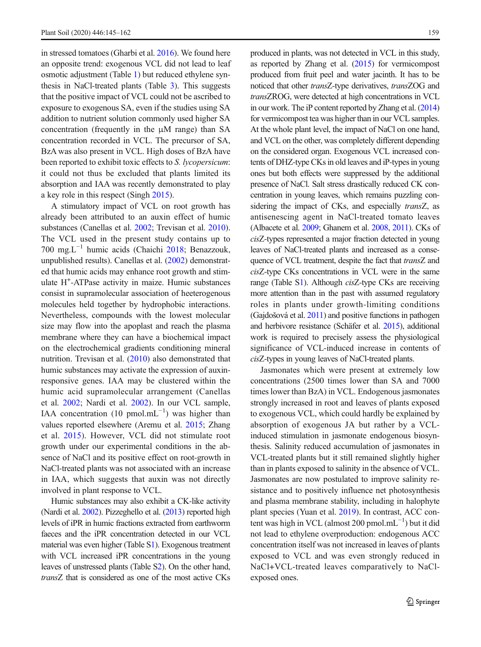in stressed tomatoes (Gharbi et al. [2016](#page-16-0)). We found here an opposite trend: exogenous VCL did not lead to leaf osmotic adjustment (Table [1\)](#page-5-0) but reduced ethylene synthesis in NaCl-treated plants (Table [3](#page-9-0)). This suggests that the positive impact of VCL could not be ascribed to exposure to exogenous SA, even if the studies using SA addition to nutrient solution commonly used higher SA concentration (frequently in the μM range) than SA concentration recorded in VCL. The precursor of SA, BzA was also present in VCL. High doses of BzA have been reported to exhibit toxic effects to S. lycopersicum: it could not thus be excluded that plants limited its absorption and IAA was recently demonstrated to play a key role in this respect (Singh [2015\)](#page-17-0).

A stimulatory impact of VCL on root growth has already been attributed to an auxin effect of humic substances (Canellas et al. [2002;](#page-15-0) Trevisan et al. [2010\)](#page-17-0). The VCL used in the present study contains up to 700 mg. $L^{-1}$  humic acids (Chaichi [2018](#page-15-0); Benazzouk, unpublished results). Canellas et al. ([2002](#page-15-0)) demonstrated that humic acids may enhance root growth and stimulate H+ -ATPase activity in maize. Humic substances consist in supramolecular association of heeterogenous molecules held together by hydrophobic interactions. Nevertheless, compounds with the lowest molecular size may flow into the apoplast and reach the plasma membrane where they can have a biochemical impact on the electrochemical gradients conditioning mineral nutrition. Trevisan et al. ([2010](#page-17-0)) also demonstrated that humic substances may activate the expression of auxinresponsive genes. IAA may be clustered within the humic acid supramolecular arrangement (Canellas et al. [2002](#page-15-0); Nardi et al. [2002\)](#page-16-0). In our VCL sample, IAA concentration (10 pmol.mL $^{-1}$ ) was higher than values reported elsewhere (Aremu et al. [2015;](#page-15-0) Zhang et al. [2015\)](#page-17-0). However, VCL did not stimulate root growth under our experimental conditions in the absence of NaCl and its positive effect on root-growth in NaCl-treated plants was not associated with an increase in IAA, which suggests that auxin was not directly involved in plant response to VCL.

Humic substances may also exhibit a CK-like activity (Nardi et al. [2002](#page-16-0)). Pizzeghello et al. [\(2013\)](#page-16-0) reported high levels of iPR in humic fractions extracted from earthworm faeces and the iPR concentration detected in our VCL material was even higher (Table S1). Exogenous treatment with VCL increased iPR concentrations in the young leaves of unstressed plants (Table S2). On the other hand, transZ that is considered as one of the most active CKs produced in plants, was not detected in VCL in this study, as reported by Zhang et al. [\(2015\)](#page-17-0) for vermicompost produced from fruit peel and water jacinth. It has to be noticed that other transZ-type derivatives, transZOG and transZROG, were detected at high concentrations in VCL in our work. The iP content reported by Zhang et al. [\(2014](#page-17-0)) for vermicompost tea was higher than in our VCL samples. At the whole plant level, the impact of NaCl on one hand, and VCL on the other, was completely different depending on the considered organ. Exogenous VCL increased contents of DHZ-type CKs in old leaves and iP-types in young ones but both effects were suppressed by the additional presence of NaCl. Salt stress drastically reduced CK concentration in young leaves, which remains puzzling considering the impact of CKs, and especially transZ, as antisenescing agent in NaCl-treated tomato leaves (Albacete et al. [2009;](#page-15-0) Ghanem et al. [2008,](#page-16-0) [2011\)](#page-16-0). CKs of cisZ-types represented a major fraction detected in young leaves of NaCl-treated plants and increased as a consequence of VCL treatment, despite the fact that transZ and cisZ-type CKs concentrations in VCL were in the same range (Table S1). Although cisZ-type CKs are receiving more attention than in the past with assumed regulatory roles in plants under growth-limiting conditions (Gajdošová et al. [2011](#page-16-0)) and positive functions in pathogen and herbivore resistance (Schäfer et al. [2015\)](#page-17-0), additional work is required to precisely assess the physiological significance of VCL-induced increase in contents of cisZ-types in young leaves of NaCl-treated plants.

Jasmonates which were present at extremely low concentrations (2500 times lower than SA and 7000 times lower than BzA) in VCL. Endogenous jasmonates strongly increased in root and leaves of plants exposed to exogenous VCL, which could hardly be explained by absorption of exogenous JA but rather by a VCLinduced stimulation in jasmonate endogenous biosynthesis. Salinity reduced accumulation of jasmonates in VCL-treated plants but it still remained slightly higher than in plants exposed to salinity in the absence of VCL. Jasmonates are now postulated to improve salinity resistance and to positively influence net photosynthesis and plasma membrane stability, including in halophyte plant species (Yuan et al. [2019](#page-17-0)). In contrast, ACC content was high in VCL (almost 200 pmol.mL−<sup>1</sup> ) but it did not lead to ethylene overproduction: endogenous ACC concentration itself was not increased in leaves of plants exposed to VCL and was even strongly reduced in NaCl+VCL-treated leaves comparatively to NaClexposed ones.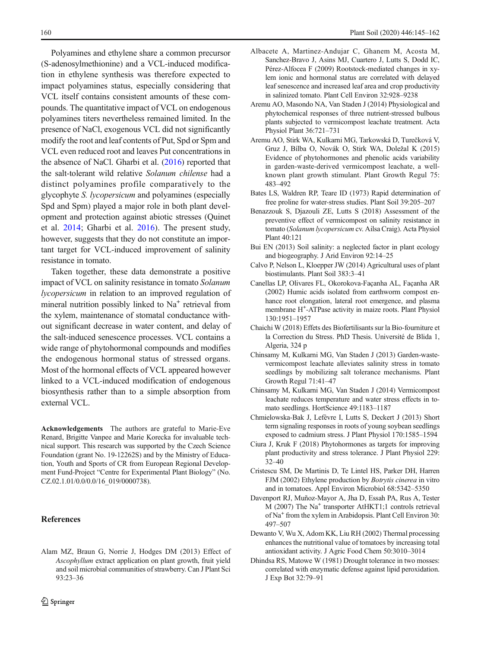<span id="page-15-0"></span>Polyamines and ethylene share a common precursor (S-adenosylmethionine) and a VCL-induced modification in ethylene synthesis was therefore expected to impact polyamines status, especially considering that VCL itself contains consistent amounts of these compounds. The quantitative impact of VCL on endogenous polyamines titers nevertheless remained limited. In the presence of NaCl, exogenous VCL did not significantly modify the root and leaf contents of Put, Spd or Spm and VCL even reduced root and leaves Put concentrations in the absence of NaCl. Gharbi et al. [\(2016\)](#page-16-0) reported that the salt-tolerant wild relative Solanum chilense had a distinct polyamines profile comparatively to the glycophyte S. lycopersicum and polyamines (especially Spd and Spm) played a major role in both plant development and protection against abiotic stresses (Quinet et al. [2014](#page-16-0); Gharbi et al. [2016](#page-16-0)). The present study, however, suggests that they do not constitute an important target for VCL-induced improvement of salinity resistance in tomato.

Taken together, these data demonstrate a positive impact of VCL on salinity resistance in tomato Solanum lycopersicum in relation to an improved regulation of mineral nutrition possibly linked to Na<sup>+</sup> retrieval from the xylem, maintenance of stomatal conductance without significant decrease in water content, and delay of the salt-induced senescence processes. VCL contains a wide range of phytohormonal compounds and modifies the endogenous hormonal status of stressed organs. Most of the hormonal effects of VCL appeared however linked to a VCL-induced modification of endogenous biosynthesis rather than to a simple absorption from external VCL.

Acknowledgements The authors are grateful to Marie-Eve Renard, Brigitte Vanpee and Marie Korecka for invaluable technical support. This research was supported by the Czech Science Foundation (grant No. 19-12262S) and by the Ministry of Education, Youth and Sports of CR from European Regional Development Fund-Project "Centre for Experimental Plant Biology" (No. CZ.02.1.01/0.0/0.0/16\_019/0000738).

## References

Alam MZ, Braun G, Norrie J, Hodges DM (2013) Effect of Ascophyllum extract application on plant growth, fruit yield and soil microbial communities of strawberry. Can J Plant Sci 93:23–36

- Albacete A, Martinez-Andujar C, Ghanem M, Acosta M, Sanchez-Bravo J, Asins MJ, Cuartero J, Lutts S, Dodd IC, Pérez-Alfocea F (2009) Rootstock-mediated changes in xylem ionic and hormonal status are correlated with delayed leaf senescence and increased leaf area and crop productivity in salinized tomato. Plant Cell Environ 32:928–9238
- Aremu AO, Masondo NA, Van Staden J (2014) Physiological and phytochemical responses of three nutrient-stressed bulbous plants subjected to vermicompost leachate treatment. Acta Physiol Plant 36:721–731
- Aremu AO, Stirk WA, Kulkarni MG, Tarkowská D, Turečková V, Gruz J, Bílba O, Novák O, Stirk WA, Doležal K (2015) Evidence of phytohormones and phenolic acids variability in garden-waste-derived vermicompost leachate, a wellknown plant growth stimulant. Plant Growth Regul 75: 483–492
- Bates LS, Waldren RP, Teare ID (1973) Rapid determination of free proline for water-stress studies. Plant Soil 39:205–207
- Benazzouk S, Djazouli ZE, Lutts S (2018) Assessment of the preventive effect of vermicompost on salinity resistance in tomato (Solanum lycopersicum cv. Ailsa Craig). Acta Physiol Plant 40:121
- Bui EN (2013) Soil salinity: a neglected factor in plant ecology and biogeography. J Arid Environ 92:14–25
- Calvo P, Nelson L, Kloepper JW (2014) Agricultural uses of plant biostimulants. Plant Soil 383:3–41
- Canellas LP, Olivares FL, Okorokova-Façanha AL, Façanha AR (2002) Humic acids isolated from earthworm compost enhance root elongation, lateral root emergence, and plasma membrane H+ -ATPase activity in maize roots. Plant Physiol 130:1951–1957
- Chaichi W (2018) Effets des Biofertilisants sur la Bio-fourniture et la Correction du Stress. PhD Thesis. Université de Blida 1, Algeria, 324 p
- Chinsamy M, Kulkarni MG, Van Staden J (2013) Garden-wastevermicompost leachate alleviates salinity stress in tomato seedlings by mobilizing salt tolerance mechanisms. Plant Growth Regul 71:41–47
- Chinsamy M, Kulkarni MG, Van Staden J (2014) Vermicompost leachate reduces temperature and water stress effects in tomato seedlings. HortScience 49:1183–1187
- Chmielowska-Bak J, Lefèvre I, Lutts S, Deckert J (2013) Short term signaling responses in roots of young soybean seedlings exposed to cadmium stress. J Plant Physiol 170:1585–1594
- Ciura J, Kruk F (2018) Phytohormones as targets for improving plant productivity and stress tolerance. J Plant Physiol 229: 32–40
- Cristescu SM, De Martinis D, Te Lintel HS, Parker DH, Harren FJM (2002) Ethylene production by Botrytis cinerea in vitro and in tomatoes. Appl Environ Microbiol 68:5342–5350
- Davenport RJ, Muñoz-Mayor A, Jha D, Essah PA, Rus A, Tester M (2007) The Na<sup>+</sup> transporter AtHKT1:1 controls retrieval of Na+ from the xylem in Arabidopsis. Plant Cell Environ 30: 497–507
- Dewanto V, Wu X, Adom KK, Liu RH (2002) Thermal processing enhances the nutritional value of tomatoes by increasing total antioxidant activity. J Agric Food Chem 50:3010–3014
- Dhindsa RS, Matowe W (1981) Drought tolerance in two mosses: correlated with enzymatic defense against lipid peroxidation. J Exp Bot 32:79–91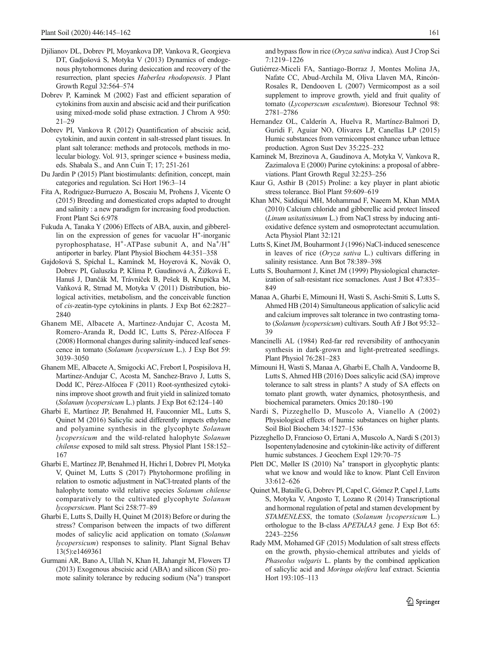- <span id="page-16-0"></span>Djilianov DL, Dobrev PI, Moyankova DP, Vankova R, Georgieva DT, Gadjošová S, Motyka V (2013) Dynamics of endogenous phytohormones during desiccation and recovery of the resurrection, plant species Haberlea rhodopensis. J Plant Growth Regul 32:564–574
- Dobrev P, Kaminek M (2002) Fast and efficient separation of cytokinins from auxin and abscisic acid and their purification using mixed-mode solid phase extraction. J Chrom A 950: 21–29
- Dobrev PI, Vankova R (2012) Quantification of abscisic acid, cytokinin, and auxin content in salt-stressed plant tissues. In plant salt tolerance: methods and protocols, methods in molecular biology. Vol. 913, springer science + business media, eds. Shabala S., and Ann Cuin T; 17; 251-261
- Du Jardin P (2015) Plant biostimulants: definition, concept, main categories and regulation. Sci Hort 196:3–14
- Fita A, Rodriguez-Burruezo A, Boscaiu M, Prohens J, Vicente O (2015) Breeding and domesticated crops adapted to drought and salinity : a new paradigm for increasing food production. Front Plant Sci 6:978
- Fukuda A, Tanaka Y (2006) Effects of ABA, auxin, and gibberellin on the expression of genes for vacuolar H<sup>+</sup>-inorganic pyrophosphatase, H<sup>+</sup>-ATPase subunit A, and Na<sup>+</sup>/H<sup>+</sup> antiporter in barley. Plant Physiol Biochem 44:351–358
- Gajdošová S, Spíchal L, Kamínek M, Hoyerová K, Novák O, Dobrev PI, Galuszka P, Klíma P, Gaudinová A, Žižková E, Hanuš J, Dančák M, Trávníček B, Pešek B, Krupička M, Vaňková R, Strnad M, Motyka V (2011) Distribution, biological activities, metabolism, and the conceivable function of cis-zeatin-type cytokinins in plants. J Exp Bot 62:2827– 2840
- Ghanem ME, Albacete A, Martinez-Andujar C, Acosta M, Romero-Aranda R, Dodd IC, Lutts S, Pérez-Alfocea F (2008) Hormonal changes during salinity-induced leaf senescence in tomato (Solanum lycopersicum L.). J Exp Bot 59: 3039–3050
- Ghanem ME, Albacete A, Smigocki AC, Frebort I, Pospisilova H, Martinez-Andujar C, Acosta M, Sanchez-Bravo J, Lutts S, Dodd IC, Pérez-Alfocea F (2011) Root-synthesized cytokinins improve shoot growth and fruit yield in salinized tomato (Solanum lycopersicum L.) plants. J Exp Bot 62:124–140
- Gharbi E, Martínez JP, Benahmed H, Fauconnier ML, Lutts S, Quinet M (2016) Salicylic acid differently impacts ethylene and polyamine synthesis in the glycophyte Solanum lycopersicum and the wild-related halophyte Solanum chilense exposed to mild salt stress. Physiol Plant 158:152– 167
- Gharbi E, Martínez JP, Benahmed H, Hichri I, Dobrev PI, Motyka V, Quinet M, Lutts S (2017) Phytohormone profiling in relation to osmotic adjustment in NaCl-treated plants of the halophyte tomato wild relative species Solanum chilense comparatively to the cultivated glycophyte Solanum lycopersicum. Plant Sci 258:77–89
- Gharbi E, Lutts S, Dailly H, Quinet M (2018) Before or during the stress? Comparison between the impacts of two different modes of salicylic acid application on tomato (Solanum lycopersicum) responses to salinity. Plant Signal Behav 13(5):e1469361
- Gurmani AR, Bano A, Ullah N, Khan H, Jahangir M, Flowers TJ (2013) Exogenous abscisic acid (ABA) and silicon (Si) promote salinity tolerance by reducing sodium (Na<sup>+</sup>) transport

and bypass flow in rice (Oryza sativa indica). Aust J Crop Sci 7:1219–1226

- Gutiérrez-Miceli FA, Santiago-Borraz J, Montes Molina JA, Nafate CC, Abud-Archila M, Oliva Llaven MA, Rincón-Rosales R, Dendooven L (2007) Vermicompost as a soil supplement to improve growth, yield and fruit quality of tomato (Lycoperscum esculentum). Bioresour Technol 98: 2781–2786
- Hernandez OL, Calderín A, Huelva R, Martínez-Balmori D, Guridi F, Aguiar NO, Olivares LP, Canellas LP (2015) Humic substances from vermicompost enhance urban lettuce production. Agron Sust Dev 35:225–232
- Kaminek M, Brezinova A, Gaudinova A, Motyka V, Vankova R, Zazimalova E (2000) Purine cytokinins: a proposal of abbreviations. Plant Growth Regul 32:253–256
- Kaur G, Asthir B (2015) Proline: a key player in plant abiotic stress tolerance. Biol Plant 59:609–619
- Khan MN, Siddiqui MH, Mohammad F, Naeem M, Khan MMA (2010) Calcium chloride and gibberellic acid protect linseed (Linum usitatissimum L.) from NaCl stress by inducing antioxidative defence system and osmoprotectant accumulation. Acta Physiol Plant 32:121
- Lutts S, Kinet JM, Bouharmont J (1996) NaCl-induced senescence in leaves of rice (Oryza sativa L.) cultivars differing in salinity resistance. Ann Bot 78:389–398
- Lutts S, Bouharmont J, Kinet JM (1999) Physiological characterization of salt-resistant rice somaclones. Aust J Bot 47:835– 849
- Manaa A, Gharbi E, Mimouni H, Wasti S, Aschi-Smiti S, Lutts S, Ahmed HB (2014) Simultaneous application of salicylic acid and calcium improves salt tolerance in two contrasting tomato (Solanum lycopersicum) cultivars. South Afr J Bot 95:32– 39
- Mancinelli AL (1984) Red-far red reversibility of anthocyanin synthesis in dark-grown and light-pretreated seedlings. Plant Physiol 76:281–283
- Mimouni H, Wasti S, Manaa A, Gharbi E, Chalh A, Vandoorne B, Lutts S, Ahmed HB (2016) Does salicylic acid (SA) improve tolerance to salt stress in plants? A study of SA effects on tomato plant growth, water dynamics, photosynthesis, and biochemical parameters. Omics 20:180–190
- Nardi S, Pizzeghello D, Muscolo A, Vianello A (2002) Physiological effects of humic substances on higher plants. Soil Biol Biochem 34:1527–1536
- Pizzeghello D, Francioso O, Ertani A, Muscolo A, Nardi S (2013) Isopentenyladenosine and cytokinin-like activity of different humic substances. J Geochem Expl 129:70–75
- Plett DC, Møller IS (2010) Na<sup>+</sup> transport in glycophytic plants: what we know and would like to know. Plant Cell Environ 33:612–626
- Quinet M, Bataille G, Dobrev PI, Capel C, Gómez P, Capel J, Lutts S, Motyka V, Angosto T, Lozano R (2014) Transcriptional and hormonal regulation of petal and stamen development by STAMENLESS, the tomato (Solanum lycopersicum L.) orthologue to the B-class APETALA3 gene. J Exp Bot 65: 2243–2256
- Rady MM, Mohamed GF (2015) Modulation of salt stress effects on the growth, physio-chemical attributes and yields of Phaseolus vulgaris L. plants by the combined application of salicylic acid and Moringa oleifera leaf extract. Scientia Hort 193:105–113